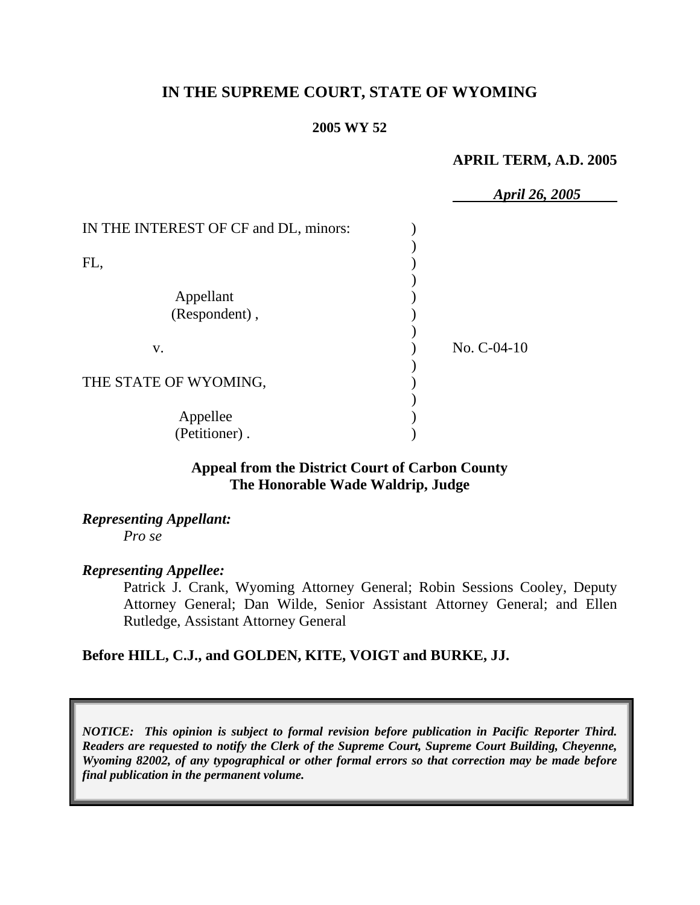# **IN THE SUPREME COURT, STATE OF WYOMING**

#### **2005 WY 52**

#### **APRIL TERM, A.D. 2005**

|                                       | April 26, 2005 |
|---------------------------------------|----------------|
| IN THE INTEREST OF CF and DL, minors: |                |
|                                       |                |
| FL,                                   |                |
|                                       |                |
| Appellant                             |                |
| (Respondent),                         |                |
|                                       |                |
| V.                                    | No. $C-04-10$  |
|                                       |                |
| THE STATE OF WYOMING,                 |                |
|                                       |                |
| Appellee                              |                |
| (Petitioner).                         |                |

### **Appeal from the District Court of Carbon County The Honorable Wade Waldrip, Judge**

*Representing Appellant: Pro se* 

#### *Representing Appellee:*

Patrick J. Crank, Wyoming Attorney General; Robin Sessions Cooley, Deputy Attorney General; Dan Wilde, Senior Assistant Attorney General; and Ellen Rutledge, Assistant Attorney General

### **Before HILL, C.J., and GOLDEN, KITE, VOIGT and BURKE, JJ.**

*NOTICE: This opinion is subject to formal revision before publication in Pacific Reporter Third. Readers are requested to notify the Clerk of the Supreme Court, Supreme Court Building, Cheyenne, Wyoming 82002, of any typographical or other formal errors so that correction may be made before final publication in the permanent volume.*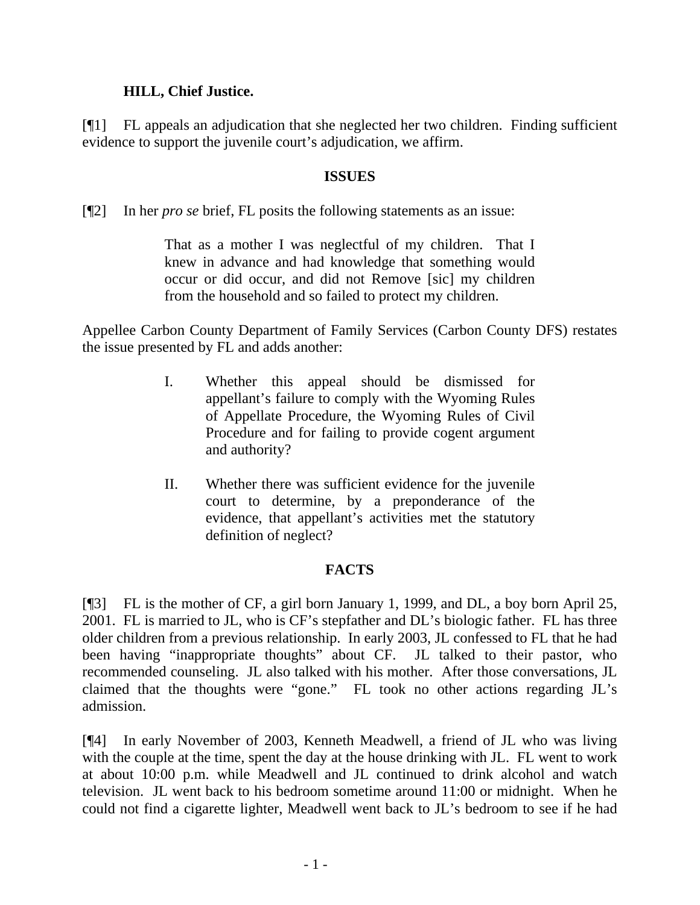## **HILL, Chief Justice.**

[¶1] FL appeals an adjudication that she neglected her two children. Finding sufficient evidence to support the juvenile court's adjudication, we affirm.

### **ISSUES**

[¶2] In her *pro se* brief, FL posits the following statements as an issue:

That as a mother I was neglectful of my children. That I knew in advance and had knowledge that something would occur or did occur, and did not Remove [sic] my children from the household and so failed to protect my children.

Appellee Carbon County Department of Family Services (Carbon County DFS) restates the issue presented by FL and adds another:

- I. Whether this appeal should be dismissed for appellant's failure to comply with the Wyoming Rules of Appellate Procedure, the Wyoming Rules of Civil Procedure and for failing to provide cogent argument and authority?
- II. Whether there was sufficient evidence for the juvenile court to determine, by a preponderance of the evidence, that appellant's activities met the statutory definition of neglect?

# **FACTS**

[¶3] FL is the mother of CF, a girl born January 1, 1999, and DL, a boy born April 25, 2001. FL is married to JL, who is CF's stepfather and DL's biologic father. FL has three older children from a previous relationship. In early 2003, JL confessed to FL that he had been having "inappropriate thoughts" about CF. JL talked to their pastor, who recommended counseling. JL also talked with his mother. After those conversations, JL claimed that the thoughts were "gone." FL took no other actions regarding JL's admission.

[¶4] In early November of 2003, Kenneth Meadwell, a friend of JL who was living with the couple at the time, spent the day at the house drinking with JL. FL went to work at about 10:00 p.m. while Meadwell and JL continued to drink alcohol and watch television. JL went back to his bedroom sometime around 11:00 or midnight. When he could not find a cigarette lighter, Meadwell went back to JL's bedroom to see if he had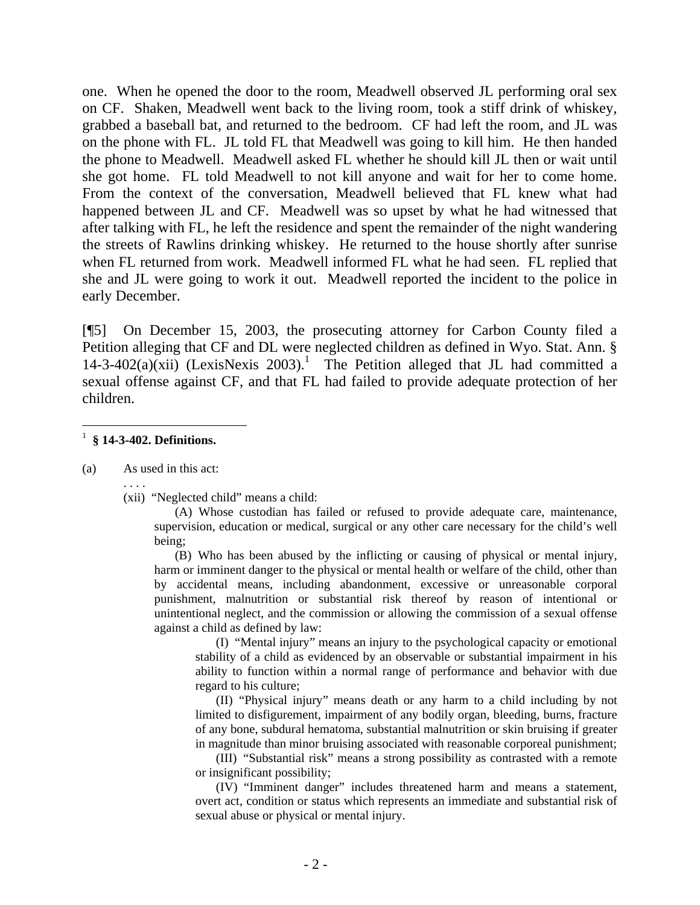one. When he opened the door to the room, Meadwell observed JL performing oral sex on CF. Shaken, Meadwell went back to the living room, took a stiff drink of whiskey, grabbed a baseball bat, and returned to the bedroom. CF had left the room, and JL was on the phone with FL. JL told FL that Meadwell was going to kill him. He then handed the phone to Meadwell. Meadwell asked FL whether he should kill JL then or wait until she got home. FL told Meadwell to not kill anyone and wait for her to come home. From the context of the conversation, Meadwell believed that FL knew what had happened between JL and CF. Meadwell was so upset by what he had witnessed that after talking with FL, he left the residence and spent the remainder of the night wandering the streets of Rawlins drinking whiskey. He returned to the house shortly after sunrise when FL returned from work. Meadwell informed FL what he had seen. FL replied that she and JL were going to work it out. Meadwell reported the incident to the police in early December.

[¶5] On December 15, 2003, the prosecuting attorney for Carbon County filed a Petition alleging that CF and DL were neglected children as defined in Wyo. Stat. Ann. §  $14-3-402(a)(xii)$  (LexisNexis 2003).<sup>1</sup> The Petition alleged that JL had committed a sexual offense against CF, and that FL had failed to provide adequate protection of her children.

#### 1 **§ 14-3-402. Definitions.**

(a) As used in this act:

. . . .

 $\overline{a}$ 

(xii) "Neglected child" means a child:

(A) Whose custodian has failed or refused to provide adequate care, maintenance, supervision, education or medical, surgical or any other care necessary for the child's well being;

(B) Who has been abused by the inflicting or causing of physical or mental injury, harm or imminent danger to the physical or mental health or welfare of the child, other than by accidental means, including abandonment, excessive or unreasonable corporal punishment, malnutrition or substantial risk thereof by reason of intentional or unintentional neglect, and the commission or allowing the commission of a sexual offense against a child as defined by law:

(I) "Mental injury" means an injury to the psychological capacity or emotional stability of a child as evidenced by an observable or substantial impairment in his ability to function within a normal range of performance and behavior with due regard to his culture;

(II) "Physical injury" means death or any harm to a child including by not limited to disfigurement, impairment of any bodily organ, bleeding, burns, fracture of any bone, subdural hematoma, substantial malnutrition or skin bruising if greater in magnitude than minor bruising associated with reasonable corporeal punishment;

(III) "Substantial risk" means a strong possibility as contrasted with a remote or insignificant possibility;

(IV) "Imminent danger" includes threatened harm and means a statement, overt act, condition or status which represents an immediate and substantial risk of sexual abuse or physical or mental injury.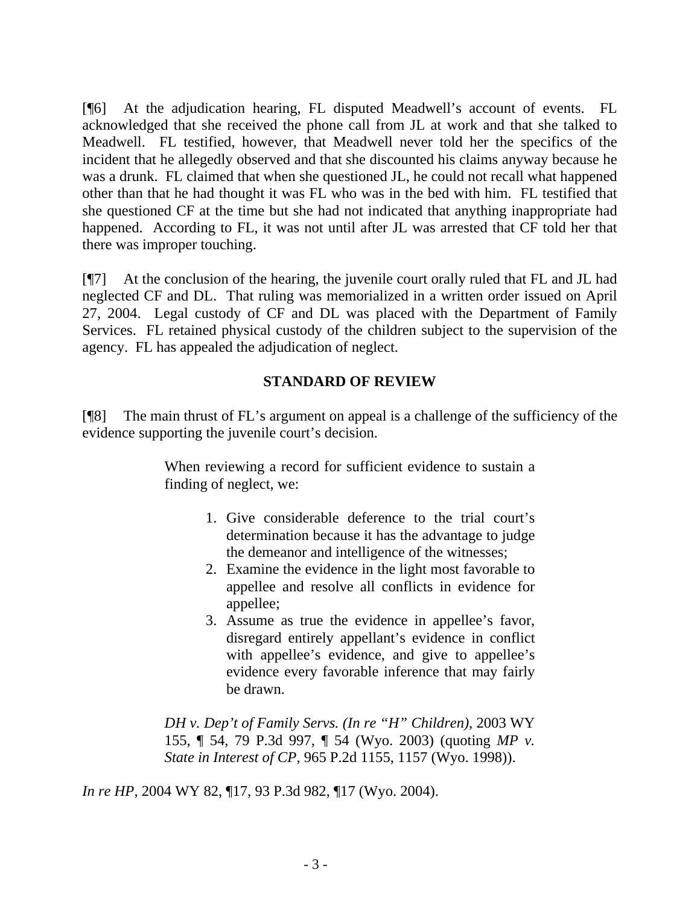[¶6] At the adjudication hearing, FL disputed Meadwell's account of events. FL acknowledged that she received the phone call from JL at work and that she talked to Meadwell. FL testified, however, that Meadwell never told her the specifics of the incident that he allegedly observed and that she discounted his claims anyway because he was a drunk. FL claimed that when she questioned JL, he could not recall what happened other than that he had thought it was FL who was in the bed with him. FL testified that she questioned CF at the time but she had not indicated that anything inappropriate had happened. According to FL, it was not until after JL was arrested that CF told her that there was improper touching.

[¶7] At the conclusion of the hearing, the juvenile court orally ruled that FL and JL had neglected CF and DL. That ruling was memorialized in a written order issued on April 27, 2004. Legal custody of CF and DL was placed with the Department of Family Services. FL retained physical custody of the children subject to the supervision of the agency. FL has appealed the adjudication of neglect.

# **STANDARD OF REVIEW**

[¶8] The main thrust of FL's argument on appeal is a challenge of the sufficiency of the evidence supporting the juvenile court's decision.

> When reviewing a record for sufficient evidence to sustain a finding of neglect, we:

- 1. Give considerable deference to the trial court's determination because it has the advantage to judge the demeanor and intelligence of the witnesses;
- 2. Examine the evidence in the light most favorable to appellee and resolve all conflicts in evidence for appellee;
- 3. Assume as true the evidence in appellee's favor, disregard entirely appellant's evidence in conflict with appellee's evidence, and give to appellee's evidence every favorable inference that may fairly be drawn.

*DH v. Dep't of Family Servs. (In re "H" Children)*, 2003 WY 155, ¶ 54, 79 P.3d 997, ¶ 54 (Wyo. 2003) (quoting *MP v. State in Interest of CP*, 965 P.2d 1155, 1157 (Wyo. 1998)).

*In re HP*, 2004 WY 82, ¶17, 93 P.3d 982, ¶17 (Wyo. 2004).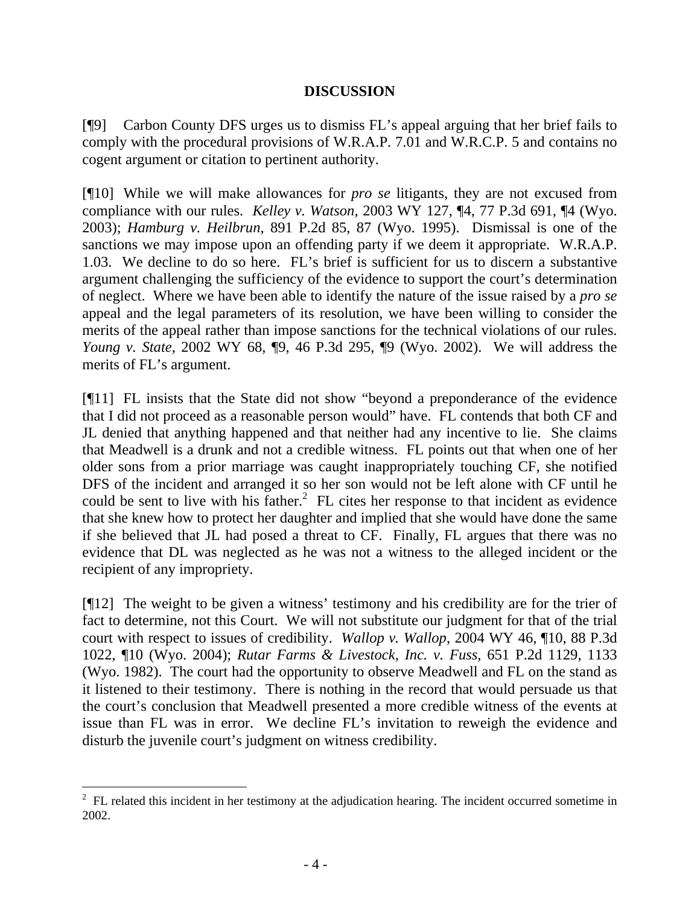## **DISCUSSION**

[¶9] Carbon County DFS urges us to dismiss FL's appeal arguing that her brief fails to comply with the procedural provisions of W.R.A.P. 7.01 and W.R.C.P. 5 and contains no cogent argument or citation to pertinent authority.

[¶10] While we will make allowances for *pro se* litigants, they are not excused from compliance with our rules. *Kelley v. Watson*, 2003 WY 127, ¶4, 77 P.3d 691, ¶4 (Wyo. 2003); *Hamburg v. Heilbrun*, 891 P.2d 85, 87 (Wyo. 1995). Dismissal is one of the sanctions we may impose upon an offending party if we deem it appropriate. W.R.A.P. 1.03. We decline to do so here. FL's brief is sufficient for us to discern a substantive argument challenging the sufficiency of the evidence to support the court's determination of neglect. Where we have been able to identify the nature of the issue raised by a *pro se* appeal and the legal parameters of its resolution, we have been willing to consider the merits of the appeal rather than impose sanctions for the technical violations of our rules. *Young v. State*, 2002 WY 68, ¶9, 46 P.3d 295, ¶9 (Wyo. 2002). We will address the merits of FL's argument.

[¶11] FL insists that the State did not show "beyond a preponderance of the evidence that I did not proceed as a reasonable person would" have. FL contends that both CF and JL denied that anything happened and that neither had any incentive to lie. She claims that Meadwell is a drunk and not a credible witness. FL points out that when one of her older sons from a prior marriage was caught inappropriately touching CF, she notified DFS of the incident and arranged it so her son would not be left alone with CF until he could be sent to live with his father.<sup>2</sup> FL cites her response to that incident as evidence that she knew how to protect her daughter and implied that she would have done the same if she believed that JL had posed a threat to CF. Finally, FL argues that there was no evidence that DL was neglected as he was not a witness to the alleged incident or the recipient of any impropriety.

[¶12] The weight to be given a witness' testimony and his credibility are for the trier of fact to determine, not this Court. We will not substitute our judgment for that of the trial court with respect to issues of credibility. *Wallop v. Wallop*, 2004 WY 46, ¶10, 88 P.3d 1022, ¶10 (Wyo. 2004); *Rutar Farms & Livestock, Inc. v. Fuss*, 651 P.2d 1129, 1133 (Wyo. 1982). The court had the opportunity to observe Meadwell and FL on the stand as it listened to their testimony. There is nothing in the record that would persuade us that the court's conclusion that Meadwell presented a more credible witness of the events at issue than FL was in error. We decline FL's invitation to reweigh the evidence and disturb the juvenile court's judgment on witness credibility.

<sup>&</sup>lt;sup>2</sup> FL related this incident in her testimony at the adjudication hearing. The incident occurred sometime in 2002.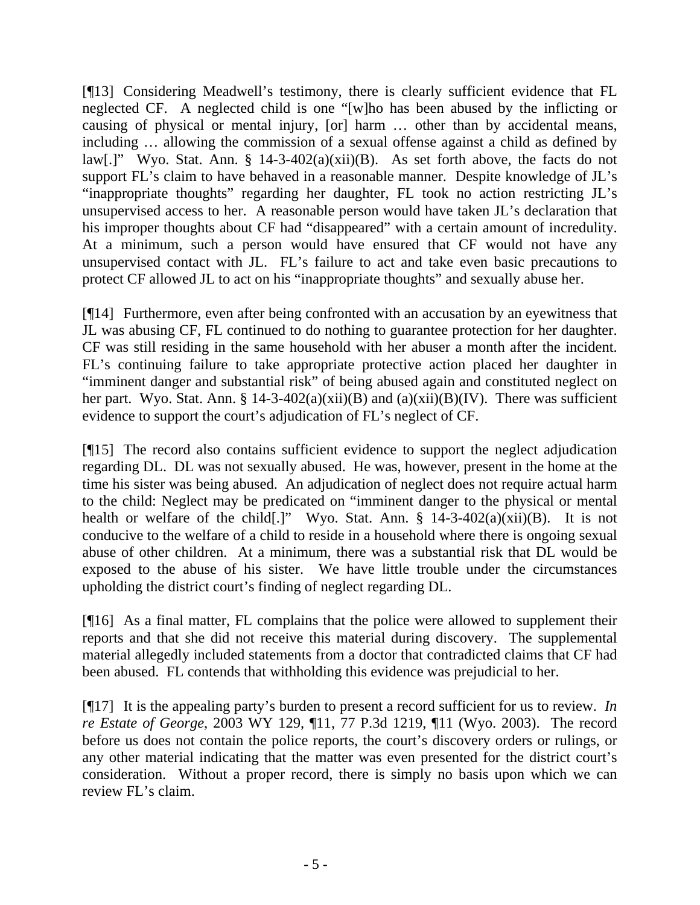[¶13] Considering Meadwell's testimony, there is clearly sufficient evidence that FL neglected CF. A neglected child is one "[w]ho has been abused by the inflicting or causing of physical or mental injury, [or] harm … other than by accidental means, including … allowing the commission of a sexual offense against a child as defined by law[.]" Wyo. Stat. Ann. § 14-3-402(a)(xii)(B). As set forth above, the facts do not support FL's claim to have behaved in a reasonable manner. Despite knowledge of JL's "inappropriate thoughts" regarding her daughter, FL took no action restricting JL's unsupervised access to her. A reasonable person would have taken JL's declaration that his improper thoughts about CF had "disappeared" with a certain amount of incredulity. At a minimum, such a person would have ensured that CF would not have any unsupervised contact with JL. FL's failure to act and take even basic precautions to protect CF allowed JL to act on his "inappropriate thoughts" and sexually abuse her.

[¶14] Furthermore, even after being confronted with an accusation by an eyewitness that JL was abusing CF, FL continued to do nothing to guarantee protection for her daughter. CF was still residing in the same household with her abuser a month after the incident. FL's continuing failure to take appropriate protective action placed her daughter in "imminent danger and substantial risk" of being abused again and constituted neglect on her part. Wyo. Stat. Ann. § 14-3-402(a)(xii)(B) and (a)(xii)(B)(IV). There was sufficient evidence to support the court's adjudication of FL's neglect of CF.

[¶15] The record also contains sufficient evidence to support the neglect adjudication regarding DL. DL was not sexually abused. He was, however, present in the home at the time his sister was being abused. An adjudication of neglect does not require actual harm to the child: Neglect may be predicated on "imminent danger to the physical or mental health or welfare of the child[.]" Wyo. Stat. Ann.  $\S$  14-3-402(a)(xii)(B). It is not conducive to the welfare of a child to reside in a household where there is ongoing sexual abuse of other children. At a minimum, there was a substantial risk that DL would be exposed to the abuse of his sister. We have little trouble under the circumstances upholding the district court's finding of neglect regarding DL.

[¶16] As a final matter, FL complains that the police were allowed to supplement their reports and that she did not receive this material during discovery. The supplemental material allegedly included statements from a doctor that contradicted claims that CF had been abused. FL contends that withholding this evidence was prejudicial to her.

[¶17] It is the appealing party's burden to present a record sufficient for us to review. *In re Estate of George*, 2003 WY 129, ¶11, 77 P.3d 1219, ¶11 (Wyo. 2003). The record before us does not contain the police reports, the court's discovery orders or rulings, or any other material indicating that the matter was even presented for the district court's consideration. Without a proper record, there is simply no basis upon which we can review FL's claim.